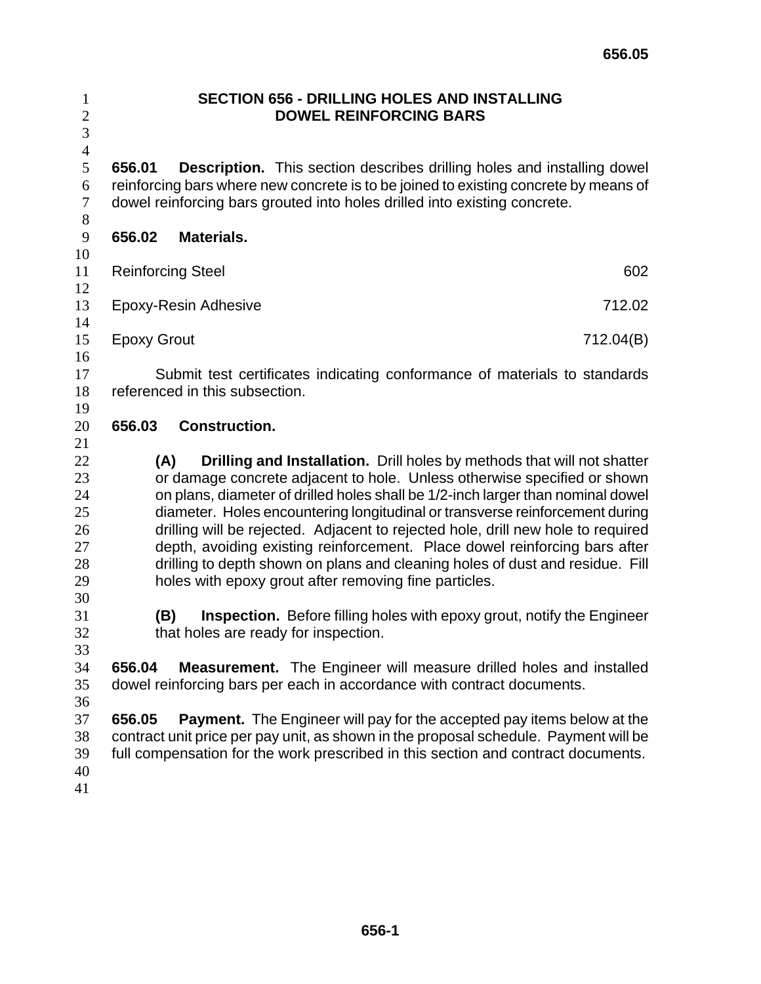## **SECTION 656 - DRILLING HOLES AND INSTALLING DOWEL REINFORCING BARS**

**656.01 Description.** This section describes drilling holes and installing dowel reinforcing bars where new concrete is to be joined to existing concrete by means of dowel reinforcing bars grouted into holes drilled into existing concrete.

- **656.02 Materials.**
- 

 

- 11 Reinforcing Steel 602
- Epoxy-Resin Adhesive 712.02
- 
- 15 Epoxy Grout 712.04(B)

Submit test certificates indicating conformance of materials to standards referenced in this subsection.

## **656.03 Construction.**

**(A) Drilling and Installation.** Drill holes by methods that will not shatter or damage concrete adjacent to hole. Unless otherwise specified or shown on plans, diameter of drilled holes shall be 1/2-inch larger than nominal dowel diameter. Holes encountering longitudinal or transverse reinforcement during drilling will be rejected. Adjacent to rejected hole, drill new hole to required depth, avoiding existing reinforcement. Place dowel reinforcing bars after drilling to depth shown on plans and cleaning holes of dust and residue. Fill holes with epoxy grout after removing fine particles.

**(B) Inspection.** Before filling holes with epoxy grout, notify the Engineer that holes are ready for inspection.

**656.04 Measurement.** The Engineer will measure drilled holes and installed dowel reinforcing bars per each in accordance with contract documents.

**656.05 Payment.** The Engineer will pay for the accepted pay items below at the contract unit price per pay unit, as shown in the proposal schedule. Payment will be full compensation for the work prescribed in this section and contract documents.